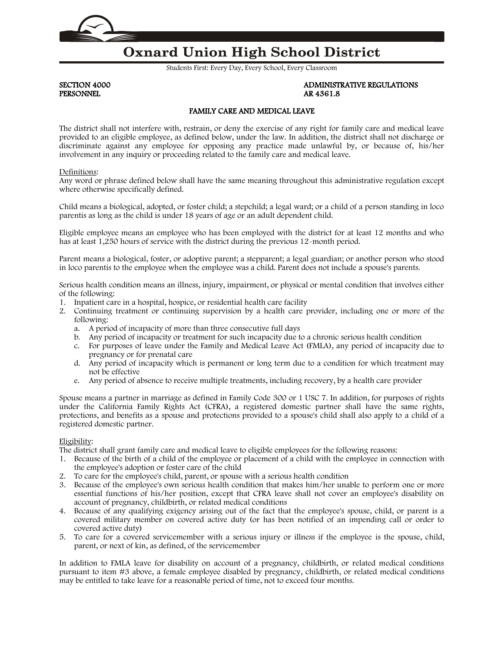

# **Oxnard Union High School District**

Students First: Every Day, Every School, Every Classroom

PERSONNEL AR 4361.8

# SECTION 4000 ADMINISTRATIVE REGULATIONS

# FAMILY CARE AND MEDICAL LEAVE

The district shall not interfere with, restrain, or deny the exercise of any right for family care and medical leave provided to an eligible employee, as defined below, under the law. In addition, the district shall not discharge or discriminate against any employee for opposing any practice made unlawful by, or because of, his/her involvement in any inquiry or proceeding related to the family care and medical leave.

#### Definitions:

Any word or phrase defined below shall have the same meaning throughout this administrative regulation except where otherwise specifically defined.

Child means a biological, adopted, or foster child; a stepchild; a legal ward; or a child of a person standing in loco parentis as long as the child is under 18 years of age or an adult dependent child.

Eligible employee means an employee who has been employed with the district for at least 12 months and who has at least 1,250 hours of service with the district during the previous 12-month period.

Parent means a biological, foster, or adoptive parent; a stepparent; a legal guardian; or another person who stood in loco parentis to the employee when the employee was a child. Parent does not include a spouse's parents.

Serious health condition means an illness, injury, impairment, or physical or mental condition that involves either of the following:

- 1. Inpatient care in a hospital, hospice, or residential health care facility
- 2. Continuing treatment or continuing supervision by a health care provider, including one or more of the following:
	- a. A period of incapacity of more than three consecutive full days
	- b. Any period of incapacity or treatment for such incapacity due to a chronic serious health condition
	- c. For purposes of leave under the Family and Medical Leave Act (FMLA), any period of incapacity due to pregnancy or for prenatal care
	- d. Any period of incapacity which is permanent or long term due to a condition for which treatment may not be effective
	- e. Any period of absence to receive multiple treatments, including recovery, by a health care provider

Spouse means a partner in marriage as defined in Family Code [300](http://www.gamutonline.net/displayPolicy/622236/4) or 1 USC 7. In addition, for purposes of rights under the California Family Rights Act (CFRA), a registered domestic partner shall have the same rights, protections, and benefits as a spouse and protections provided to a spouse's child shall also apply to a child of a registered domestic partner.

#### Eligibility:

The district shall grant family care and medical leave to eligible employees for the following reasons:

- 1. Because of the birth of a child of the employee or placement of a child with the employee in connection with the employee's adoption or foster care of the child
- 2. To care for the employee's child, parent, or spouse with a serious health condition
- 3. Because of the employee's own serious health condition that makes him/her unable to perform one or more essential functions of his/her position, except that CFRA leave shall not cover an employee's disability on account of pregnancy, childbirth, or related medical conditions
- 4. Because of any qualifying exigency arising out of the fact that the employee's spouse, child, or parent is a covered military member on covered active duty (or has been notified of an impending call or order to covered active duty)
- 5. To care for a covered servicemember with a serious injury or illness if the employee is the spouse, child, parent, or next of kin, as defined, of the servicemember

In addition to FMLA leave for disability on account of a pregnancy, childbirth, or related medical conditions pursuant to item #3 above, a female employee disabled by pregnancy, childbirth, or related medical conditions may be entitled to take leave for a reasonable period of time, not to exceed four months.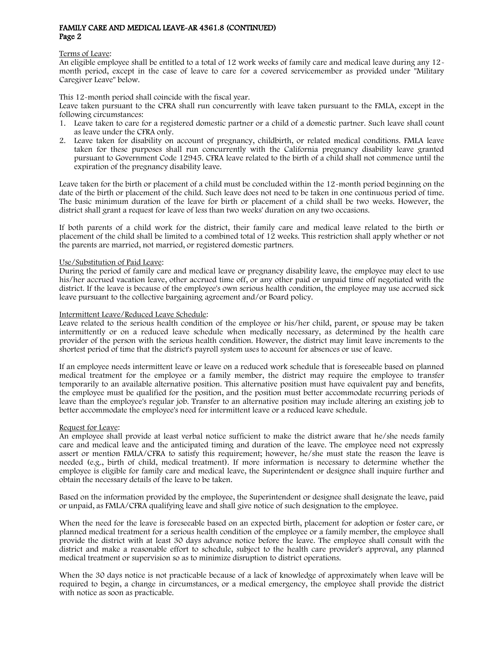#### Terms of Leave:

An eligible employee shall be entitled to a total of 12 work weeks of family care and medical leave during any 12 month period, except in the case of leave to care for a covered servicemember as provided under "Military Caregiver Leave" below.

This 12-month period shall coincide with the fiscal year.

Leave taken pursuant to the CFRA shall run concurrently with leave taken pursuant to the FMLA, except in the following circumstances:

- 1. Leave taken to care for a registered domestic partner or a child of a domestic partner. Such leave shall count as leave under the CFRA only.
- 2. Leave taken for disability on account of pregnancy, childbirth, or related medical conditions. FMLA leave taken for these purposes shall run concurrently with the California pregnancy disability leave granted pursuant to Government Code [12945.](http://www.gamutonline.net/displayPolicy/146412/4) CFRA leave related to the birth of a child shall not commence until the expiration of the pregnancy disability leave.

Leave taken for the birth or placement of a child must be concluded within the 12-month period beginning on the date of the birth or placement of the child. Such leave does not need to be taken in one continuous period of time. The basic minimum duration of the leave for birth or placement of a child shall be two weeks. However, the district shall grant a request for leave of less than two weeks' duration on any two occasions.

If both parents of a child work for the district, their family care and medical leave related to the birth or placement of the child shall be limited to a combined total of 12 weeks. This restriction shall apply whether or not the parents are married, not married, or registered domestic partners.

#### Use/Substitution of Paid Leave:

During the period of family care and medical leave or pregnancy disability leave, the employee may elect to use his/her accrued vacation leave, other accrued time off, or any other paid or unpaid time off negotiated with the district. If the leave is because of the employee's own serious health condition, the employee may use accrued sick leave pursuant to the collective bargaining agreement and/or Board policy.

#### Intermittent Leave/Reduced Leave Schedule:

Leave related to the serious health condition of the employee or his/her child, parent, or spouse may be taken intermittently or on a reduced leave schedule when medically necessary, as determined by the health care provider of the person with the serious health condition. However, the district may limit leave increments to the shortest period of time that the district's payroll system uses to account for absences or use of leave.

If an employee needs intermittent leave or leave on a reduced work schedule that is foreseeable based on planned medical treatment for the employee or a family member, the district may require the employee to transfer temporarily to an available alternative position. This alternative position must have equivalent pay and benefits, the employee must be qualified for the position, and the position must better accommodate recurring periods of leave than the employee's regular job. Transfer to an alternative position may include altering an existing job to better accommodate the employee's need for intermittent leave or a reduced leave schedule.

#### Request for Leave:

An employee shall provide at least verbal notice sufficient to make the district aware that he/she needs family care and medical leave and the anticipated timing and duration of the leave. The employee need not expressly assert or mention FMLA/CFRA to satisfy this requirement; however, he/she must state the reason the leave is needed (e.g., birth of child, medical treatment). If more information is necessary to determine whether the employee is eligible for family care and medical leave, the Superintendent or designee shall inquire further and obtain the necessary details of the leave to be taken.

Based on the information provided by the employee, the Superintendent or designee shall designate the leave, paid or unpaid, as FMLA/CFRA qualifying leave and shall give notice of such designation to the employee.

When the need for the leave is foreseeable based on an expected birth, placement for adoption or foster care, or planned medical treatment for a serious health condition of the employee or a family member, the employee shall provide the district with at least 30 days advance notice before the leave. The employee shall consult with the district and make a reasonable effort to schedule, subject to the health care provider's approval, any planned medical treatment or supervision so as to minimize disruption to district operations.

When the 30 days notice is not practicable because of a lack of knowledge of approximately when leave will be required to begin, a change in circumstances, or a medical emergency, the employee shall provide the district with notice as soon as practicable.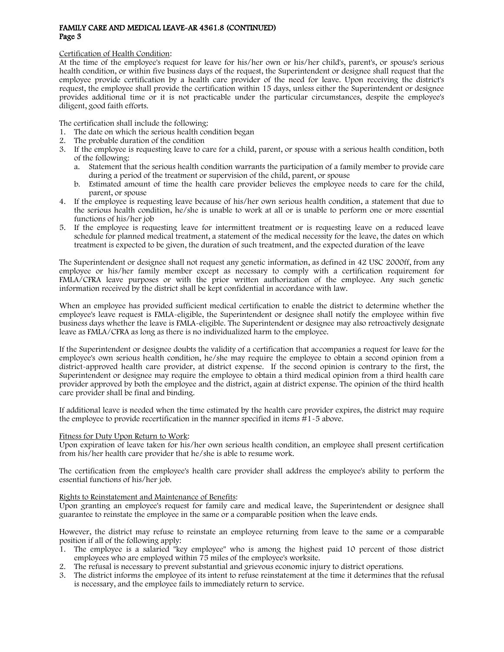#### Certification of Health Condition:

At the time of the employee's request for leave for his/her own or his/her child's, parent's, or spouse's serious health condition, or within five business days of the request, the Superintendent or designee shall request that the employee provide certification by a health care provider of the need for leave. Upon receiving the district's request, the employee shall provide the certification within 15 days, unless either the Superintendent or designee provides additional time or it is not practicable under the particular circumstances, despite the employee's diligent, good faith efforts.

The certification shall include the following:

- 1. The date on which the serious health condition began
- 2. The probable duration of the condition
- 3. If the employee is requesting leave to care for a child, parent, or spouse with a serious health condition, both of the following:
	- a. Statement that the serious health condition warrants the participation of a family member to provide care during a period of the treatment or supervision of the child, parent, or spouse
	- b. Estimated amount of time the health care provider believes the employee needs to care for the child, parent, or spouse
- 4. If the employee is requesting leave because of his/her own serious health condition, a statement that due to the serious health condition, he/she is unable to work at all or is unable to perform one or more essential functions of his/her job
- 5. If the employee is requesting leave for intermittent treatment or is requesting leave on a reduced leave schedule for planned medical treatment, a statement of the medical necessity for the leave, the dates on which treatment is expected to be given, the duration of such treatment, and the expected duration of the leave

The Superintendent or designee shall not request any genetic information, as defined in 42 USC [2000ff,](http://www.gamutonline.net/displayPolicy/605600/4) from any employee or his/her family member except as necessary to comply with a certification requirement for FMLA/CFRA leave purposes or with the prior written authorization of the employee. Any such genetic information received by the district shall be kept confidential in accordance with law.

When an employee has provided sufficient medical certification to enable the district to determine whether the employee's leave request is FMLA-eligible, the Superintendent or designee shall notify the employee within five business days whether the leave is FMLA-eligible. The Superintendent or designee may also retroactively designate leave as FMLA/CFRA as long as there is no individualized harm to the employee.

If the Superintendent or designee doubts the validity of a certification that accompanies a request for leave for the employee's own serious health condition, he/she may require the employee to obtain a second opinion from a district-approved health care provider, at district expense. If the second opinion is contrary to the first, the Superintendent or designee may require the employee to obtain a third medical opinion from a third health care provider approved by both the employee and the district, again at district expense. The opinion of the third health care provider shall be final and binding.

If additional leave is needed when the time estimated by the health care provider expires, the district may require the employee to provide recertification in the manner specified in items #1-5 above.

#### Fitness for Duty Upon Return to Work:

Upon expiration of leave taken for his/her own serious health condition, an employee shall present certification from his/her health care provider that he/she is able to resume work.

The certification from the employee's health care provider shall address the employee's ability to perform the essential functions of his/her job.

#### Rights to Reinstatement and Maintenance of Benefits:

Upon granting an employee's request for family care and medical leave, the Superintendent or designee shall guarantee to reinstate the employee in the same or a comparable position when the leave ends.

However, the district may refuse to reinstate an employee returning from leave to the same or a comparable position if all of the following apply:

- 1. The employee is a salaried "key employee" who is among the highest paid 10 percent of those district employees who are employed within 75 miles of the employee's worksite.
- 2. The refusal is necessary to prevent substantial and grievous economic injury to district operations.
- 3. The district informs the employee of its intent to refuse reinstatement at the time it determines that the refusal is necessary, and the employee fails to immediately return to service.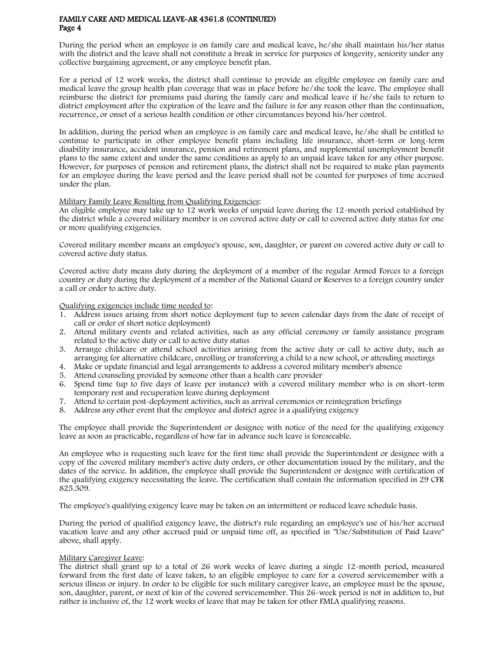During the period when an employee is on family care and medical leave, he/she shall maintain his/her status with the district and the leave shall not constitute a break in service for purposes of longevity, seniority under any collective bargaining agreement, or any employee benefit plan.

For a period of 12 work weeks, the district shall continue to provide an eligible employee on family care and medical leave the group health plan coverage that was in place before he/she took the leave. The employee shall reimburse the district for premiums paid during the family care and medical leave if he/she fails to return to district employment after the expiration of the leave and the failure is for any reason other than the continuation, recurrence, or onset of a serious health condition or other circumstances beyond his/her control.

In addition, during the period when an employee is on family care and medical leave, he/she shall be entitled to continue to participate in other employee benefit plans including life insurance, short-term or long-term disability insurance, accident insurance, pension and retirement plans, and supplemental unemployment benefit plans to the same extent and under the same conditions as apply to an unpaid leave taken for any other purpose. However, for purposes of pension and retirement plans, the district shall not be required to make plan payments for an employee during the leave period and the leave period shall not be counted for purposes of time accrued under the plan.

# Military Family Leave Resulting from Qualifying Exigencies:

An eligible employee may take up to 12 work weeks of unpaid leave during the 12-month period established by the district while a covered military member is on covered active duty or call to covered active duty status for one or more qualifying exigencies.

Covered military member means an employee's spouse, son, daughter, or parent on covered active duty or call to covered active duty status.

Covered active duty means duty during the deployment of a member of the regular Armed Forces to a foreign country or duty during the deployment of a member of the National Guard or Reserves to a foreign country under a call or order to active duty.

Qualifying exigencies include time needed to:

- 1. Address issues arising from short notice deployment (up to seven calendar days from the date of receipt of call or order of short notice deployment)
- 2. Attend military events and related activities, such as any official ceremony or family assistance program related to the active duty or call to active duty status
- 3. Arrange childcare or attend school activities arising from the active duty or call to active duty, such as arranging for alternative childcare, enrolling or transferring a child to a new school, or attending meetings
- 4. Make or update financial and legal arrangements to address a covered military member's absence
- 5. Attend counseling provided by someone other than a health care provider
- 6. Spend time (up to five days of leave per instance) with a covered military member who is on short-term temporary rest and recuperation leave during deployment
- 7. Attend to certain post-deployment activities, such as arrival ceremonies or reintegration briefings
- 8. Address any other event that the employee and district agree is a qualifying exigency

The employee shall provide the Superintendent or designee with notice of the need for the qualifying exigency leave as soon as practicable, regardless of how far in advance such leave is foreseeable.

An employee who is requesting such leave for the first time shall provide the Superintendent or designee with a copy of the covered military member's active duty orders, or other documentation issued by the military, and the dates of the service. In addition, the employee shall provide the Superintendent or designee with certification of the qualifying exigency necessitating the leave. The certification shall contain the information specified in 29 CFR [825.309.](http://www.gamutonline.net/displayPolicy/120647/4) 

The employee's qualifying exigency leave may be taken on an intermittent or reduced leave schedule basis.

During the period of qualified exigency leave, the district's rule regarding an employee's use of his/her accrued vacation leave and any other accrued paid or unpaid time off, as specified in "Use/Substitution of Paid Leave" above, shall apply.

#### Military Caregiver Leave:

The district shall grant up to a total of 26 work weeks of leave during a single 12-month period, measured forward from the first date of leave taken, to an eligible employee to care for a covered servicemember with a serious illness or injury. In order to be eligible for such military caregiver leave, an employee must be the spouse, son, daughter, parent, or next of kin of the covered servicemember. This 26-week period is not in addition to, but rather is inclusive of, the 12 work weeks of leave that may be taken for other FMLA qualifying reasons.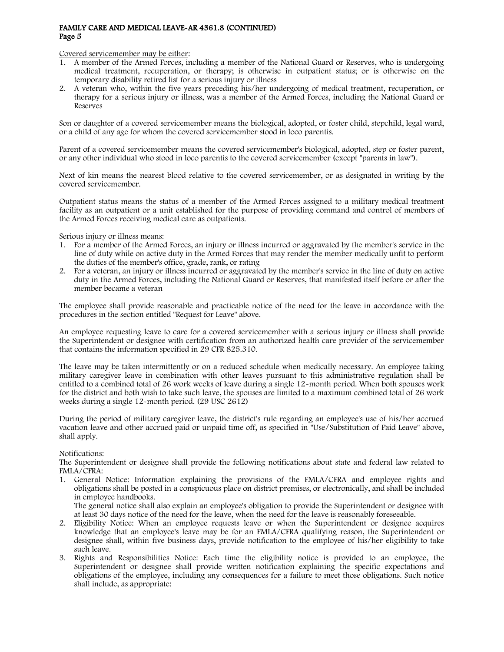Covered servicemember may be either:

- 1. A member of the Armed Forces, including a member of the National Guard or Reserves, who is undergoing medical treatment, recuperation, or therapy; is otherwise in outpatient status; or is otherwise on the temporary disability retired list for a serious injury or illness
- 2. A veteran who, within the five years preceding his/her undergoing of medical treatment, recuperation, or therapy for a serious injury or illness, was a member of the Armed Forces, including the National Guard or Reserves

Son or daughter of a covered servicemember means the biological, adopted, or foster child, stepchild, legal ward, or a child of any age for whom the covered servicemember stood in loco parentis.

Parent of a covered servicemember means the covered servicemember's biological, adopted, step or foster parent, or any other individual who stood in loco parentis to the covered servicemember (except "parents in law").

Next of kin means the nearest blood relative to the covered servicemember, or as designated in writing by the covered servicemember.

Outpatient status means the status of a member of the Armed Forces assigned to a military medical treatment facility as an outpatient or a unit established for the purpose of providing command and control of members of the Armed Forces receiving medical care as outpatients.

Serious injury or illness means:

- 1. For a member of the Armed Forces, an injury or illness incurred or aggravated by the member's service in the line of duty while on active duty in the Armed Forces that may render the member medically unfit to perform the duties of the member's office, grade, rank, or rating
- 2. For a veteran, an injury or illness incurred or aggravated by the member's service in the line of duty on active duty in the Armed Forces, including the National Guard or Reserves, that manifested itself before or after the member became a veteran

The employee shall provide reasonable and practicable notice of the need for the leave in accordance with the procedures in the section entitled "Request for Leave" above.

An employee requesting leave to care for a covered servicemember with a serious injury or illness shall provide the Superintendent or designee with certification from an authorized health care provider of the servicemember that contains the information specified in 29 CFR [825.310.](http://www.gamutonline.net/displayPolicy/120648/4)

The leave may be taken intermittently or on a reduced schedule when medically necessary. An employee taking military caregiver leave in combination with other leaves pursuant to this administrative regulation shall be entitled to a combined total of 26 work weeks of leave during a single 12-month period. When both spouses work for the district and both wish to take such leave, the spouses are limited to a maximum combined total of 26 work weeks during a single 12-month period. (29 USC [2612\)](http://www.gamutonline.net/displayPolicy/190947/4)

During the period of military caregiver leave, the district's rule regarding an employee's use of his/her accrued vacation leave and other accrued paid or unpaid time off, as specified in "Use/Substitution of Paid Leave" above, shall apply.

#### Notifications:

The Superintendent or designee shall provide the following notifications about state and federal law related to FMLA/CFRA:

1. General Notice: Information explaining the provisions of the FMLA/CFRA and employee rights and obligations shall be posted in a conspicuous place on district premises, or electronically, and shall be included in employee handbooks.

The general notice shall also explain an employee's obligation to provide the Superintendent or designee with at least 30 days notice of the need for the leave, when the need for the leave is reasonably foreseeable.

- 2. Eligibility Notice: When an employee requests leave or when the Superintendent or designee acquires knowledge that an employee's leave may be for an FMLA/CFRA qualifying reason, the Superintendent or designee shall, within five business days, provide notification to the employee of his/her eligibility to take such leave.
- 3. Rights and Responsibilities Notice: Each time the eligibility notice is provided to an employee, the Superintendent or designee shall provide written notification explaining the specific expectations and obligations of the employee, including any consequences for a failure to meet those obligations. Such notice shall include, as appropriate: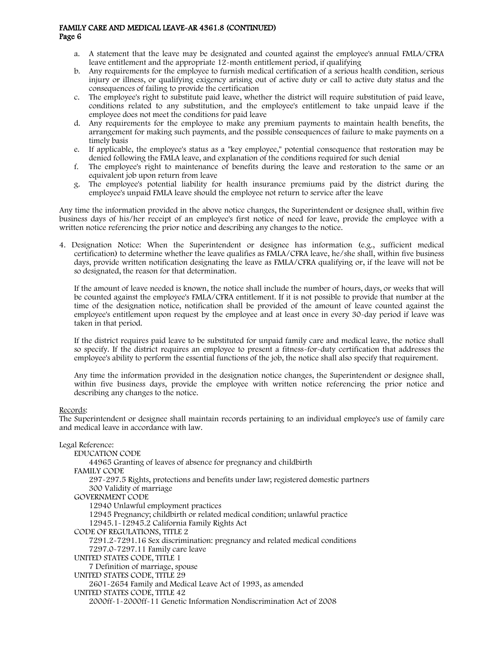- a. A statement that the leave may be designated and counted against the employee's annual FMLA/CFRA leave entitlement and the appropriate 12-month entitlement period, if qualifying
- b. Any requirements for the employee to furnish medical certification of a serious health condition, serious injury or illness, or qualifying exigency arising out of active duty or call to active duty status and the consequences of failing to provide the certification
- c. The employee's right to substitute paid leave, whether the district will require substitution of paid leave, conditions related to any substitution, and the employee's entitlement to take unpaid leave if the employee does not meet the conditions for paid leave
- d. Any requirements for the employee to make any premium payments to maintain health benefits, the arrangement for making such payments, and the possible consequences of failure to make payments on a timely basis
- e. If applicable, the employee's status as a "key employee," potential consequence that restoration may be denied following the FMLA leave, and explanation of the conditions required for such denial
- f. The employee's right to maintenance of benefits during the leave and restoration to the same or an equivalent job upon return from leave
- g. The employee's potential liability for health insurance premiums paid by the district during the employee's unpaid FMLA leave should the employee not return to service after the leave

Any time the information provided in the above notice changes, the Superintendent or designee shall, within five business days of his/her receipt of an employee's first notice of need for leave, provide the employee with a written notice referencing the prior notice and describing any changes to the notice.

4. Designation Notice: When the Superintendent or designee has information (e.g., sufficient medical certification) to determine whether the leave qualifies as FMLA/CFRA leave, he/she shall, within five business days, provide written notification designating the leave as FMLA/CFRA qualifying or, if the leave will not be so designated, the reason for that determination.

If the amount of leave needed is known, the notice shall include the number of hours, days, or weeks that will be counted against the employee's FMLA/CFRA entitlement. If it is not possible to provide that number at the time of the designation notice, notification shall be provided of the amount of leave counted against the employee's entitlement upon request by the employee and at least once in every 30-day period if leave was taken in that period.

If the district requires paid leave to be substituted for unpaid family care and medical leave, the notice shall so specify. If the district requires an employee to present a fitness-for-duty certification that addresses the employee's ability to perform the essential functions of the job, the notice shall also specify that requirement.

Any time the information provided in the designation notice changes, the Superintendent or designee shall, within five business days, provide the employee with written notice referencing the prior notice and describing any changes to the notice.

#### Records:

The Superintendent or designee shall maintain records pertaining to an individual employee's use of family care and medical leave in accordance with law.

#### Legal Reference:

EDUCATION CODE [44965](http://www.gamutonline.net/displayPolicy/131073/4) Granting of leaves of absence for pregnancy and childbirth FAMILY CODE [297](http://www.gamutonline.net/displayPolicy/327555/4)[-297.5](http://www.gamutonline.net/displayPolicy/327556/4) Rights, protections and benefits under law; registered domestic partners [300](http://www.gamutonline.net/displayPolicy/622236/4) Validity of marriage GOVERNMENT CODE [12940](http://www.gamutonline.net/displayPolicy/146260/4) Unlawful employment practices [12945](http://www.gamutonline.net/displayPolicy/146412/4) Pregnancy; childbirth or related medical condition; unlawful practice [12945.1](http://www.gamutonline.net/displayPolicy/211120/4)[-12945.2](http://www.gamutonline.net/displayPolicy/144662/4) California Family Rights Act CODE OF REGULATIONS, TITLE 2 [7291.2](http://www.gamutonline.net/displayPolicy/367983/4)[-7291.16](http://www.gamutonline.net/displayPolicy/367969/4) Sex discrimination: pregnancy and related medical conditions [7297.0](http://www.gamutonline.net/displayPolicy/367968/4)[-7297.11](http://www.gamutonline.net/displayPolicy/367957/4) Family care leave UNITED STATES CODE, TITLE 1 7 Definition of marriage, spouse UNITED STATES CODE, TITLE 29 [2601](http://www.gamutonline.net/displayPolicy/190945/4)[-2654](http://www.gamutonline.net/displayPolicy/190964/4) Family and Medical Leave Act of 1993, as amended UNITED STATES CODE, TITLE 42 [2000ff-](http://www.gamutonline.net/displayPolicy/605600/4)1-2000ff-11 Genetic Information Nondiscrimination Act of 2008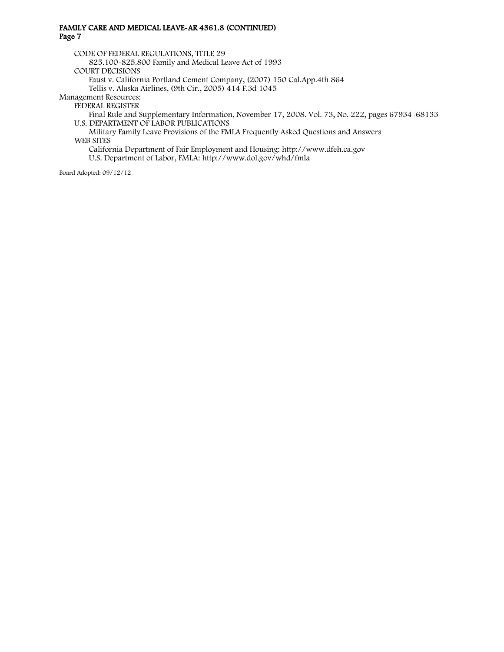CODE OF FEDERAL REGULATIONS, TITLE 29

[825.100](http://www.gamutonline.net/displayPolicy/558805/4)[-825.800](http://www.gamutonline.net/displayPolicy/120665/4) Family and Medical Leave Act of 1993 COURT DECISIONS

Faust v. California Portland Cement Company, (2007) 150 Cal.App.4th 864

Tellis v. Alaska Airlines, (9th Cir., 2005) 414 F.3d 1045

Management Resources:

FEDERAL REGISTER

Final Rule and Supplementary Information, November 17, 2008. Vol. 73, No. 222, pages 67934-68133 U.S. DEPARTMENT OF LABOR PUBLICATIONS

Military Family Leave Provisions of the FMLA Frequently Asked Questions and Answers WEB SITES

California Department of Fair Employment and Housing[: http://www.dfeh.ca.gov](http://www.dfeh.ca.gov/) U.S. Department of Labor, FMLA[: http://www.dol.gov/whd/fmla](http://www.dol.gov/whd/fmla)

Board Adopted: 09/12/12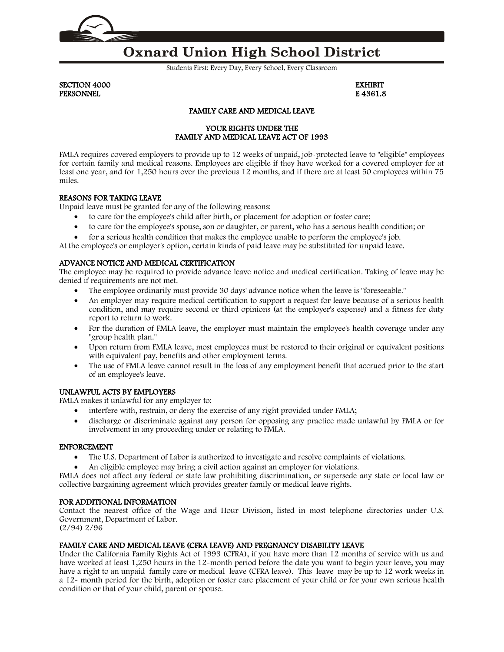

# **Oxnard Union High School District**

Students First: Every Day, Every School, Every Classroom

SECTION 4000 EXHIBIT PERSONNEL **Example 2008** 2 and 2008 2 and 2008 2 and 2008 2 and 2008 2 and 2008 2 and 2008 2 and 2008 2 and 2008 2 and 2008 2 and 2008 2 and 2008 2 and 2008 2 and 2008 2 and 2008 2 and 2008 2 and 2008 2 and 2008 2 and 2008

# FAMILY CARE AND MEDICAL LEAVE

# YOUR RIGHTS UNDER THE FAMILY AND MEDICAL LEAVE ACT OF 1993

FMLA requires covered employers to provide up to 12 weeks of unpaid, job-protected leave to "eligible" employees for certain family and medical reasons. Employees are eligible if they have worked for a covered employer for at least one year, and for 1,250 hours over the previous 12 months, and if there are at least 50 employees within 75 miles.

# REASONS FOR TAKING LEAVE

Unpaid leave must be granted for any of the following reasons:

- to care for the employee's child after birth, or placement for adoption or foster care;
- to care for the employee's spouse, son or daughter, or parent, who has a serious health condition; or
- for a serious health condition that makes the employee unable to perform the employee's job.

At the employee's or employer's option, certain kinds of paid leave may be substituted for unpaid leave.

# ADVANCE NOTICE AND MEDICAL CERTIFICATION

The employee may be required to provide advance leave notice and medical certification. Taking of leave may be denied if requirements are not met.

- The employee ordinarily must provide 30 days' advance notice when the leave is "foreseeable."
- An employer may require medical certification to support a request for leave because of a serious health condition, and may require second or third opinions (at the employer's expense) and a fitness for duty report to return to work.
- For the duration of FMLA leave, the employer must maintain the employee's health coverage under any "group health plan."
- Upon return from FMLA leave, most employees must be restored to their original or equivalent positions with equivalent pay, benefits and other employment terms.
- The use of FMLA leave cannot result in the loss of any employment benefit that accrued prior to the start of an employee's leave.

# UNLAWFUL ACTS BY EMPLOYERS

FMLA makes it unlawful for any employer to:

- interfere with, restrain, or deny the exercise of any right provided under FMLA;
- discharge or discriminate against any person for opposing any practice made unlawful by FMLA or for involvement in any proceeding under or relating to FMLA.

#### ENFORCEMENT

- The U.S. Department of Labor is authorized to investigate and resolve complaints of violations.
- An eligible employee may bring a civil action against an employer for violations.

FMLA does not affect any federal or state law prohibiting discrimination, or supersede any state or local law or collective bargaining agreement which provides greater family or medical leave rights.

#### FOR ADDITIONAL INFORMATION

Contact the nearest office of the Wage and Hour Division, listed in most telephone directories under U.S. Government, Department of Labor.

(2/94) 2/96

# FAMILY CARE AND MEDICAL LEAVE (CFRA LEAVE) AND PREGNANCY DISABILITY LEAVE

Under the California Family Rights Act of 1993 (CFRA), if you have more than 12 months of service with us and have worked at least 1,250 hours in the 12-month period before the date you want to begin your leave, you may have a right to an unpaid family care or medical leave (CFRA leave). This leave may be up to 12 work weeks in a 12- month period for the birth, adoption or foster care placement of your child or for your own serious health condition or that of your child, parent or spouse.